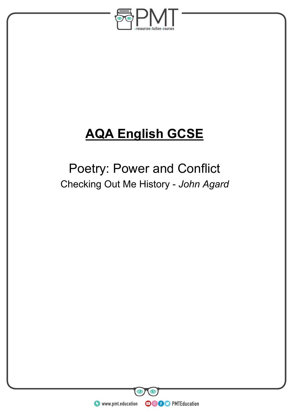

# **AQA English GCSE**

## Poetry: Power and Conflict Checking Out Me History - *John Agard*

**WWW.pmt.education**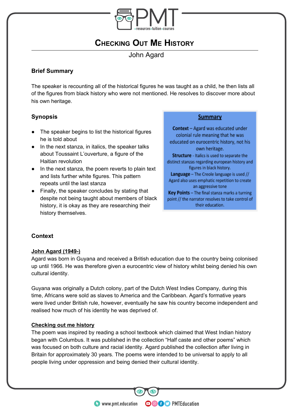

## **CHECKING OUT ME HISTORY**

John Agard

#### **Brief Summary**

The speaker is recounting all of the historical figures he was taught as a child, he then lists all of the figures from black history who were not mentioned. He resolves to discover more about his own heritage.

#### **Synopsis**

- The speaker begins to list the historical figures he is told about
- In the next stanza, in italics, the speaker talks about Toussaint L'ouverture, a figure of the Haitian revolution
- In the next stanza, the poem reverts to plain text and lists further white figures. This pattern repeats until the last stanza
- Finally, the speaker concludes by stating that despite not being taught about members of black history, it is okay as they are researching their history themselves.

#### **Summary**

Context - Agard was educated under colonial rule meaning that he was educated on eurocentric history, not his own heritage. Structure - Italics is used to separate the distinct stanzas regarding european history and figures in black history. Language - The Creole language is used // Agard also uses emphatic repetition to create an aggressive tone Key Points - The final stanza marks a turning point // the narrator resolves to take control of their education.

#### **Context**

#### **John Agard (1949-)**

Agard was born in Guyana and received a British education due to the country being colonised up until 1966. He was therefore given a eurocentric view of history whilst being denied his own cultural identity.

Guyana was originally a Dutch colony, part of the Dutch West Indies Company, during this time, Africans were sold as slaves to America and the Caribbean. Agard's formative years were lived under British rule, however, eventually he saw his country become independent and realised how much of his identity he was deprived of.

#### **Checking out me history**

The poem was inspired by reading a school textbook which claimed that West Indian history began with Columbus. It was published in the collection "Half caste and other poems" which was focused on both culture and racial identity. Agard published the collection after living in Britain for approximately 30 years. The poems were intended to be universal to apply to all people living under oppression and being denied their cultural identity.

**OOOO** PMTEducation

**C** www.pmt.education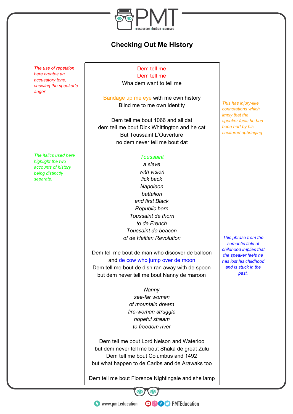

### **Checking Out Me History**

*The use of repetition here creates an accusatory tone, showing the speaker's anger*

*The italics used here highlight the two accounts of history being distinctly separate.*

Dem tell me

Dem tell me Wha dem want to tell me

Bandage up me eye with me own history Blind me to me own identity

Dem tell me bout 1066 and all dat dem tell me bout Dick Whittington and he cat But Toussaint L'Ouverture no dem never tell me bout dat

#### *Toussaint*

*a slave with vision lick back Napoleon battalion and first Black Republic born Toussaint de thorn to de French Toussaint de beacon of de Haitian Revolution*

Dem tell me bout de man who discover de balloon and de cow who jump over de moon Dem tell me bout de dish ran away with de spoon but dem never tell me bout Nanny de maroon

> *Nanny see-far woman of mountain dream fire-woman struggle hopeful stream to freedom river*

Dem tell me bout Lord Nelson and Waterloo but dem never tell me bout Shaka de great Zulu Dem tell me bout Columbus and 1492 but what happen to de Caribs and de Arawaks too

Dem tell me bout Florence Nightingale and she lamp

**OOOO** PMTEducation

*This has injury-like connotations which imply that the speaker feels he has been hurt by his sheltered upbringing*

*This phrase from the semantic field of childhood implies that the speaker feels he has lost his childhood and is stuck in the past.*

**C** www.pmt.education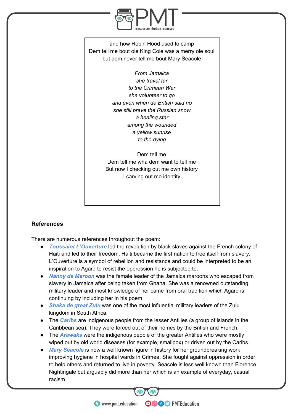

and how Robin Hood used to camp Dem tell me bout ole King Cole was a merry ole soul but dem never tell me bout Mary Seacole

> *From Jamaica she travel far to the Crimean War she volunteer to go and even when de British said no she still brave the Russian snow a healing star among the wounded a yellow sunrise to the dying*

Dem tell me Dem tell me wha dem want to tell me But now I checking out me own history I carving out me identity

#### **References**

There are numerous references throughout the poem:

- *Toussaint L'Ouverture* led the revolution by black slaves against the French colony of Haiti and led to their freedom. Haiti became the first nation to free itself from slavery. L'Ouverture is a symbol of rebellion and resistance and could be interpreted to be an inspiration to Agard to resist the oppression he is subjected to.
- *Nanny de Maroon* was the female leader of the Jamaica maroons who escaped from slavery in Jamaica after being taken from Ghana. She was a renowned outstanding military leader and most knowledge of her came from oral tradition which Agard is continuing by including her in his poem.
- *Shaka de great Zulu* was one of the most influential military leaders of the Zulu kingdom in South Africa.
- The *Caribs* are indigenous people from the lesser Antilles (a group of islands in the Caribbean sea). They were forced out of their homes by the British and French.
- The *Arawaks* were the indigenous people of the greater Antilles who were mostly wiped out by old world diseases (for example, smallpox) or driven out by the Caribs.
- *Mary Seacole* is now a well known figure in history for her groundbreaking work improving hygiene in hospital wards in Crimea. She fought against oppression in order to help others and returned to live in poverty. Seacole is less well known than Florence Nightingale but arguably did more than her which is an example of everyday, casual racism.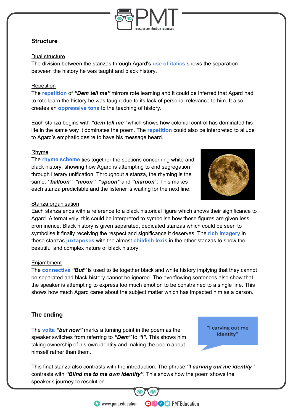

#### **Structure**

#### Dual structure

The division between the stanzas through Agard's **use of italics** shows the separation between the history he was taught and black history.

#### **Repetition**

The **repetition** of *"Dem tell me"* mirrors rote learning and it could be inferred that Agard had to rote learn the history he was taught due to its lack of personal relevance to him. It also creates an **oppressive tone** to the teaching of history.

Each stanza begins with *"dem tell me"* which shows how colonial control has dominated his life in the same way it dominates the poem. The **repetition** could also be interpreted to allude to Agard's emphatic desire to have his message heard.

#### Rhyme

The **rhyme scheme** ties together the sections concerning white and black history, showing how Agard is attempting to end segregation through literary unification. Throughout a stanza, the rhyming is the same: *"balloon"*, *"moon"*, *"spoon"* and *"maroon".* This makes each stanza predictable and the listener is waiting for the next line.



#### Stanza organisation

Each stanza ends with a reference to a black historical figure which shows their significance to Agard. Alternatively, this could be interpreted to symbolise how these figures are given less prominence. Black history is given separated, dedicated stanzas which could be seen to symbolise it finally receiving the respect and significance it deserves. The **rich imagery** in these stanzas **juxtaposes** with the almost **childish lexis** in the other stanzas to show the beautiful and complex nature of black history.

#### **Enjambment**

The **connective** *"But"* is used to tie together black and white history implying that they cannot be separated and black history cannot be ignored. The overflowing sentences also show that the speaker is attempting to express too much emotion to be constrained to a single line. This shows how much Agard cares about the subject matter which has impacted him as a person.

#### **The ending**

The **volta** *"but now"* marks a turning point in the poem as the speaker switches from referring to *"Dem"* to *"I"*. This shows him taking ownership of his own identity and making the poem about himself rather than them.

"I carving out me identity"

This final stanza also contrasts with the introduction. The phrase *"I carving out me identity"* contrasts with *"Blind me to me own identity"*. This shows how the poem shows the speaker's journey to resolution.

**OOOO** PMTEducation

**C** www.pmt.education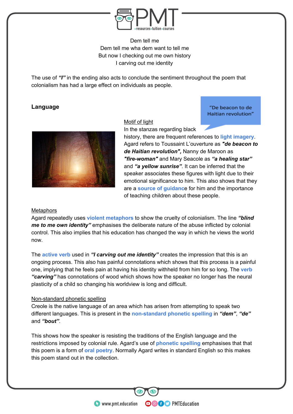

Dem tell me Dem tell me wha dem want to tell me But now I checking out me own history I carving out me identity

The use of *"I"* in the ending also acts to conclude the sentiment throughout the poem that colonialism has had a large effect on individuals as people.

#### **Language**

#### Motif of light

"De beacon to de Haitian revolution"



In the stanzas regarding black

history, there are frequent references to **light imagery**. Agard refers to Toussaint L'ouverture as *"de beacon to de Haitian revolution",* Nanny de Maroon as *"fire-woman"* and Mary Seacole as *"a healing star"* and *"a yellow sunrise"*. It can be inferred that the speaker associates these figures with light due to their emotional significance to him. This also shows that they are a **source of guidanc**e for him and the importance of teaching children about these people.

#### **Metaphors**

Agard repeatedly uses **violent metaphors** to show the cruelty of colonialism. The line *"blind me to me own identity"* emphasises the deliberate nature of the abuse inflicted by colonial control. This also implies that his education has changed the way in which he views the world now.

The **active verb** used in *"I carving out me identity"* creates the impression that this is an ongoing process. This also has painful connotations which shows that this process is a painful one, implying that he feels pain at having his identity withheld from him for so long. The **verb** *"carving"* has connotations of wood which shows how the speaker no longer has the neural plasticity of a child so changing his worldview is long and difficult.

#### Non-standard phonetic spelling

Creole is the native language of an area which has arisen from attempting to speak two different languages. This is present in the **non-standard phonetic spelling** in *"dem"*, *"de"* and *"bout"*.

This shows how the speaker is resisting the traditions of the English language and the restrictions imposed by colonial rule. Agard's use of **phonetic spelling** emphasises that that this poem is a form of **oral poetry**. Normally Agard writes in standard English so this makes this poem stand out in the collection.

**OOOO** PMTEducation

**WWW.pmt.education**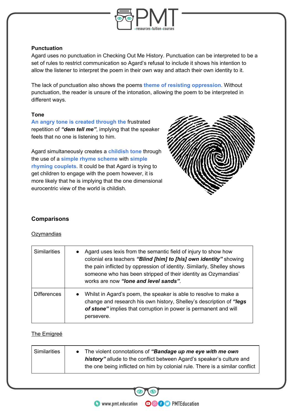

#### **Punctuation**

Agard uses no punctuation in Checking Out Me History. Punctuation can be interpreted to be a set of rules to restrict communication so Agard's refusal to include it shows his intention to allow the listener to interpret the poem in their own way and attach their own identity to it.

The lack of punctuation also shows the poems **theme of resisting oppression**. Without punctuation, the reader is unsure of the intonation, allowing the poem to be interpreted in different ways.

#### **Tone**

**An angry tone is created through the** frustrated repetition of *"dem tell me"*, implying that the speaker feels that no one is listening to him.

Agard simultaneously creates a **childish tone** through the use of a **simple rhyme scheme** with **simple rhyming couplets**. It could be that Agard is trying to get children to engage with the poem however, it is more likely that he is implying that the one dimensional eurocentric view of the world is childish.



#### **Comparisons**

#### **Ozymandias**

| <b>Similarities</b> | Agard uses lexis from the semantic field of injury to show how<br>colonial era teachers "Blind [him] to [his] own identity" showing<br>the pain inflicted by oppression of identity. Similarly, Shelley shows<br>someone who has been stripped of their identity as Ozymandias'<br>works are now "lone and level sands". |
|---------------------|--------------------------------------------------------------------------------------------------------------------------------------------------------------------------------------------------------------------------------------------------------------------------------------------------------------------------|
| <b>Differences</b>  | Whilst in Agard's poem, the speaker is able to resolve to make a<br>$\bullet$<br>change and research his own history, Shelley's description of "legs<br>of stone" implies that corruption in power is permanent and will<br>persevere.                                                                                   |

#### The Emigreé

| <b>Similarities</b> | • The violent connotations of "Bandage up me eye with me own                                                                                          |
|---------------------|-------------------------------------------------------------------------------------------------------------------------------------------------------|
|                     | history" allude to the conflict between Agard's speaker's culture and<br>the one being inflicted on him by colonial rule. There is a similar conflict |